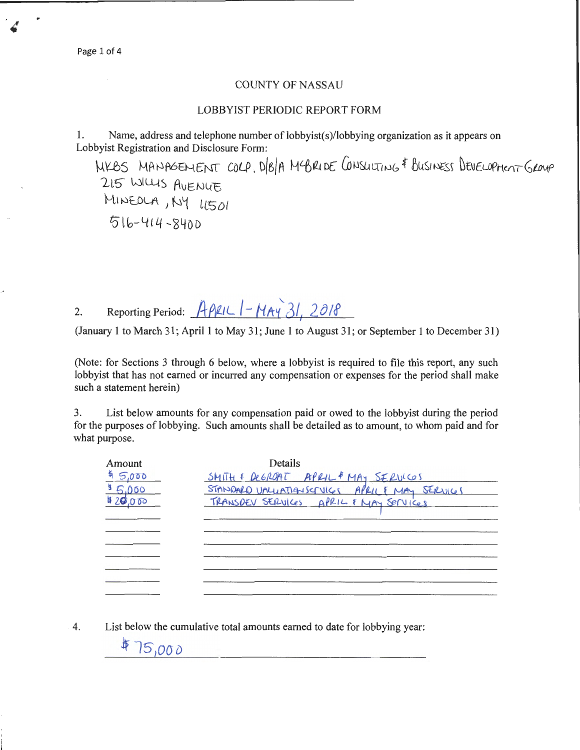## LOBBYIST PERIODIC REPORT FORM

1. Name, address and telephone number of lobbyist(s)/lobbying organization as it appears on Lobbyist Registration and Disclosure Form:

WKBS MANAGEMENT COLP, D/B/A MCBRIDE CONSULTING & BUSINESS DEVELOPMENT GROUP 215 WILLIS AVENUE MINEOLA, NY LISOI Z0 lb-4 *t* 4 -240D

2. Reporting Period:  $A\beta lL$   $HAY$   $31$ ,  $2018$ 

(January 1 to March 31; April 1 to May 31; June I to August 31; or September 1 to December 31)

(Note: for Sections 3 through 6 below, where a lobbyist is required to file this report, any such lobbyist that has not earned or incurred any compensation or expenses for the period shall make such a statement herein)

3. List below amounts for any compensation paid or owed to the lobbyist during the period for the purposes of lobbying. Such amounts shall be detailed as to amount, to whom paid and for what purpose.

| Amount                            | Details<br>SMITH & DEGROAT APRIL & MAY SERVICOS                                           |
|-----------------------------------|-------------------------------------------------------------------------------------------|
| $45,000$<br>$85,000$<br>$820,000$ | STANDARD UNLUATIONSERVICES APRIL & MAY SERVICES<br>TRANSDEV SERVICES APRIL & MAY SERVICES |
|                                   |                                                                                           |
|                                   |                                                                                           |
|                                   |                                                                                           |
|                                   |                                                                                           |
|                                   |                                                                                           |

4. List below the cumulative total amounts earned to date for lobbying year:

#75,000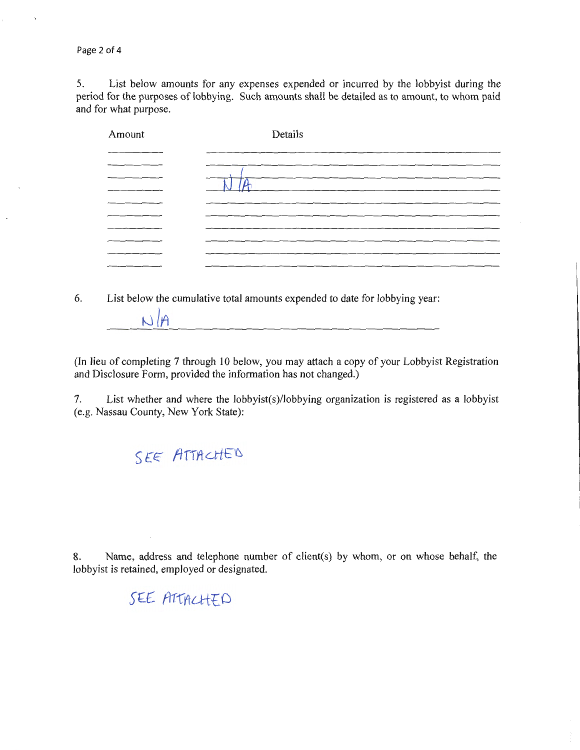Page 2 of 4

5. List below amounts for any expenses expended or incurred by the lobbyist during the period for the purposes of lobbying. Such amounts shall be detailed as to amount, to whom paid and for what purpose.

| Amount | Details |
|--------|---------|
|        |         |
|        |         |
|        |         |
|        |         |
|        |         |
|        |         |
|        |         |
|        |         |
|        |         |

6. List below the cumulative total amounts expended to date for lobbying year:

(In lieu of completing 7 through 10 below, you may attach a copy of your Lobbyist Registration and Disclosure Form, provided the information has not changed.)

7. List whether and where the lobbyist(s)/lobbying organization is registered as a lobbyist (e.g. Nassau County, New York State):

SEE ATTACHED

 $N/H$ 

8. Name, address and telephone number of client(s) by whom, or on whose behalf, the lobbyist is retained, employed or designated.

# SEE ATTACHED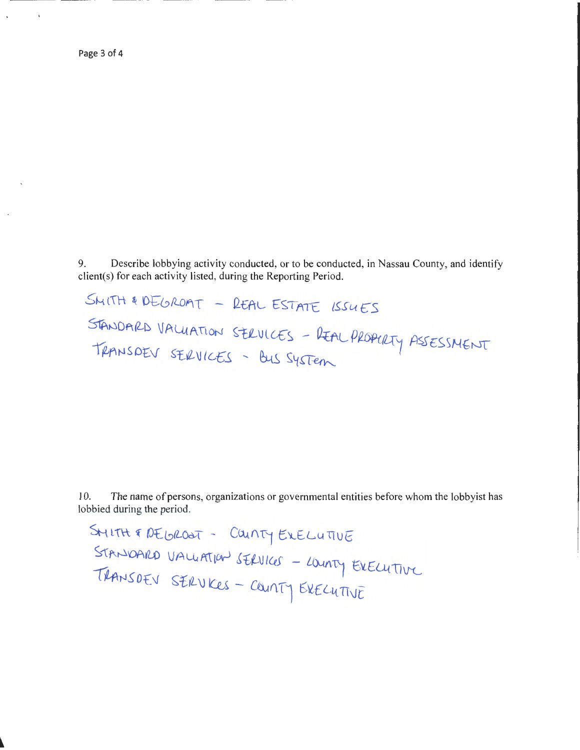9. Describe lobbying activity conducted, or to be conducted, in Nassau County, and identify client(s) for each activity listed, during the Reporting Period.

SMITH & DEGROAT - REAL ESTATE ISSUES STANDARD VALUATION SERVICES - REAL PROPURTY ASSESSMENT TRANSDEV SERVICES - BUS SYSTEM

10. The name of persons, organizations or governmental entities before whom the lobbyist has lobbied during the period.

SMITH & DEGROOT - COUNTY EXELUTIVE STANDARD VALUATION SERVICES - LOUNTY EXECUTIVE TRANSDEV SERVICES - COUNTY EXECUTIVE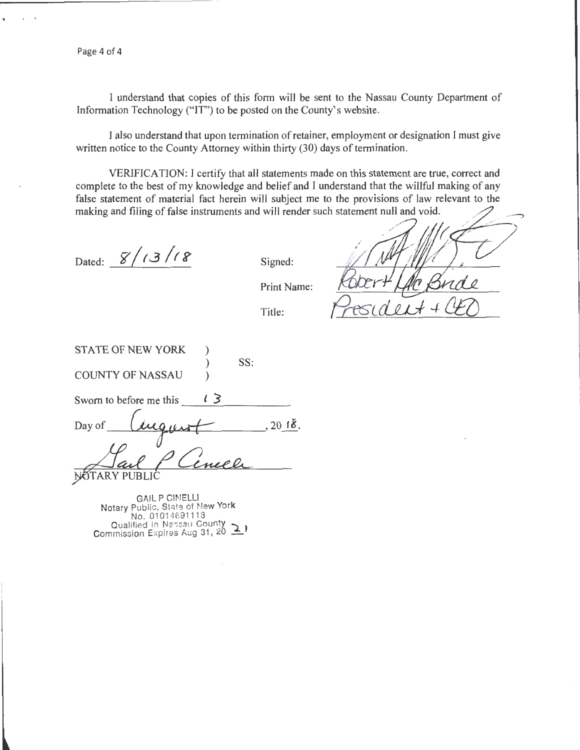Page 4 of 4

I understand that copies of this form will be sent to the Nassau County Department of Information Technology ("IT") to be posted on the County's website.

I also understand that upon termination of retainer, employment or designation I must give written notice to the County Attorney within thirty (30) days of termination.

VERIFICATION: I certify that all statements made on this statement are true, correct and complete to the best of my knowledge and belief and I understand that the willful making of any false statement of material fact herein will subject me to the provisions of law relevant to the making and filing of false instruments and will render such statement null and void.

Dated:  $8/13/18$ 

Signed:

Print Name:

Title:

STATE OF NEW YORK COUNTY OF NASSAU ) ) ) SS:

Sworn to before me this  $\sqrt{3}$ 

Day of  $\mu_{\text{u}}$ , 20  $18$ .

NOTARY PUBLIC <u>Laul P Cenech</u>

GAIL P CINELLI Notary Public, State of New York No. 0101 4691 118 Qualified in Nassau County  $\sum$  commission Expires Aug 31, 20  $\sum$  )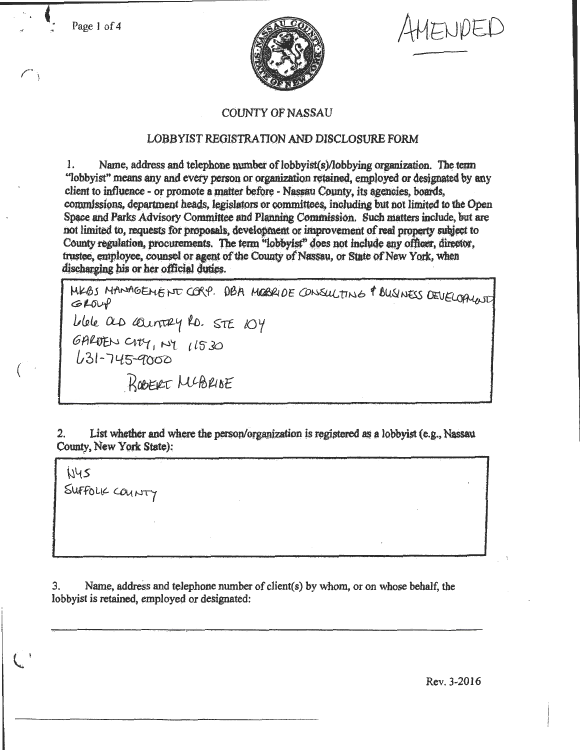Page 1 of 4



ENDED

## **COUNTY OF NASSAU**

## LOBBYIST REGISTRATION AND DISCLOSURE FORM

Name, address and telephone number of lobbyist(s)/lobbying organization. The term 1. "lobbyist" means any and every person or organization retained, employed or designated by any client to influence - or promote a matter before - Nassau County, its agencies, boards, commissions, department heads, legislators or committees, including but not limited to the Open Space and Parks Advisory Committee and Planning Commission. Such matters include, but are not limited to, requests for proposals, development or improvement of real property subject to County regulation, procurements. The term "lobbyist" does not include any officer, director, trustee, employee, counsel or agent of the County of Nassau, or State of New York, when discharging his or her official duties.

MKBS MANAGEMENT CORP. DBA MOBRIDE CONSULTING & BUSINESS DEVELOPIUNT  $GLOW$ blele as country RD. STE 104<br>GARDEN CITY, NY 11530<br>631-745-9000 ROBERT MUBRISE

List whether and where the person/organization is registered as a lobbyist (e.g., Nassau  $2.$ County, New York State):

WYS SUFFOLK COUNTY

3. Name, address and telephone number of client(s) by whom, or on whose behalf, the lobbyist is retained, employed or designated:

Rev. 3-2016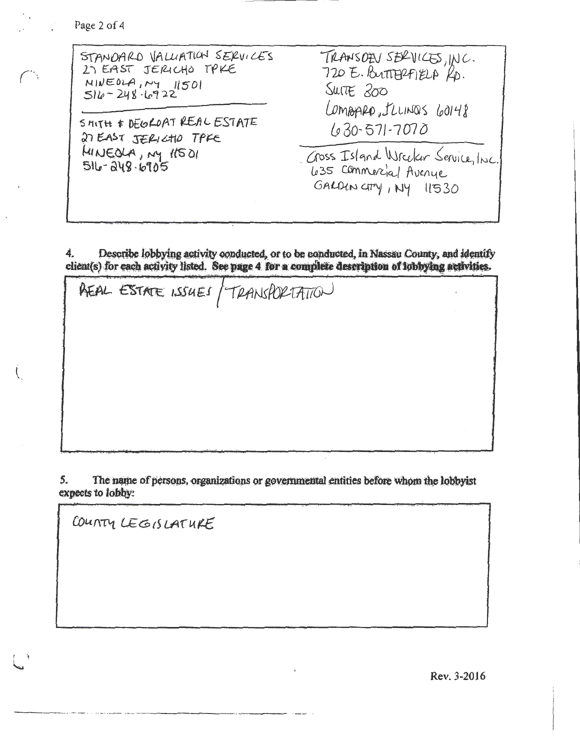Page 2 of 4

| STANDARD VALUATION SERVICES<br>27 EAST JERICHO TPKE<br>$MINEOLA, NY$ 11501<br>$516 - 248.6922$<br>SHITH & DEGROAT REAL ESTATE<br>27 EAST JERICHO TPKE | TRANSOEN SERVICES, INC.<br>720 E. BUTTERFIELA KD.<br>SUITE 200<br>LOMBARD, ILLINOS GOI48<br>$630 - 571 - 7070$ |
|-------------------------------------------------------------------------------------------------------------------------------------------------------|----------------------------------------------------------------------------------------------------------------|
| MINEOLA, MY 11501<br>516-248.6905                                                                                                                     | Gross Island Wrecker Service, Inc.<br>435 Commercial Avenue<br>$GALDUN$ $Gry$ , $NY$ $11530$                   |

Describe lobbying activity conducted, or to be conducted, in Nassau County, and identify 4. client(s) for each activity listed. See page 4 for a complete description of lobbying activities.

AEAL ESTATE ISSUES / TRANSPORTATION

5. The name of persons, organizations or governmental entities before whom the lobbyist expects to lobby:

COUNTY LEGISLATURE

Rev. 3-2016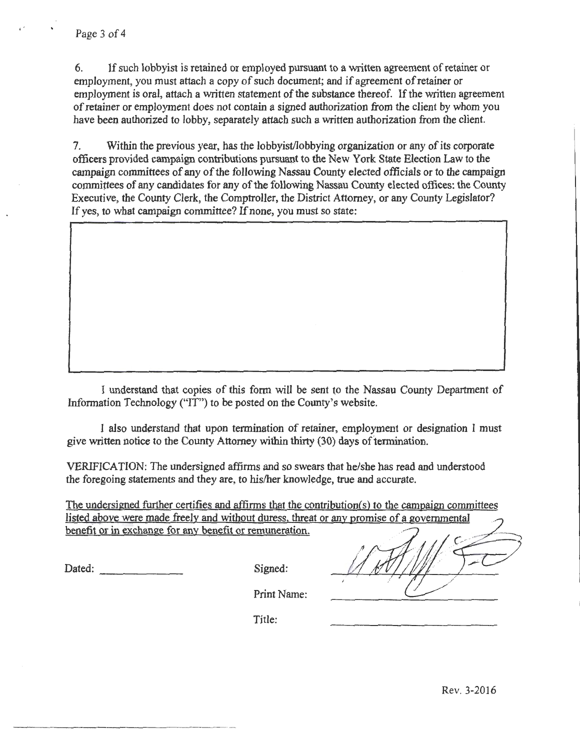6. If such lobbyist is retained or employed pursuant to a written agreement of retainer or employment, you must attach a copy of such document; and if agreement of retainer or employment is oral, attach a written statement of the substance thereof. If the written agreement of retainer or employment does not contain a signed authorization from the client by whom you have been authorized to lobby, separately attach such a written authorization from the client.

7. Within the previous year, has the lobbyist/lobbying organization or any of its corporate officers provided campaign contributions pursuant to the New York State Election Law to the campaign committees of any of the following Nassau County elected officials or to the campaign committees of any candidates for any of the following Nassau County elected offices: the County Executive, the County Clerk, the Comptroller, the District Attorney, or any County Legislator? If yes, to what campaign committee? If none, you must so state:

I understand that copies of this form will be sent to the Nassau County Department of Information Technology ("IT") to be posted on the County's website.

I also understand that upon termination of retainer, employment or designation I must give written notice to the County Attorney within thirty (30) days of termination.

VERIFICATION: The undersigned affirms and so swears that he/she has read and understood the foregoing statements and they are, to his/her knowledge, true and accurate.

The undersigned further certifies and affirms that the contribution(s) to the campaign committees listed above were made freely and without duress, threat or any promise of a governmental benefit or in exchange for any benefit or remuneration.

Dated: Signed: Signed:

| <u>It of any promise of a governmental</u> |
|--------------------------------------------|
| $\mathcal{M}^{\mathcal{L}^{\mathcal{L}}}$  |
|                                            |

Print Name:

Title:

Rev. 3-2016